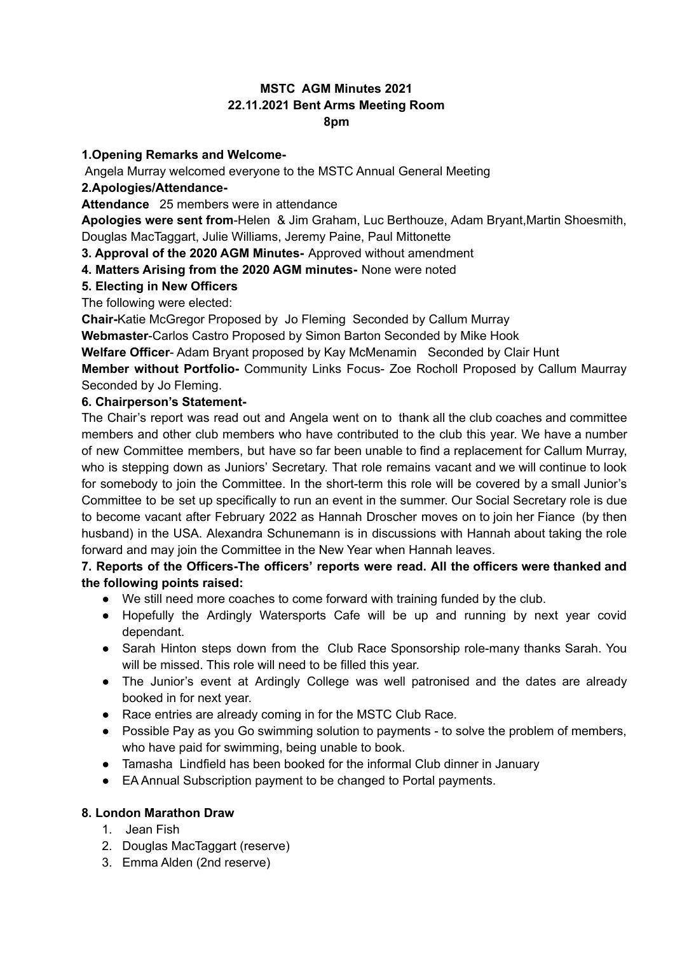## **MSTC AGM Minutes 2021 22.11.2021 Bent Arms Meeting Room 8pm**

## **1.Opening Remarks and Welcome-**

Angela Murray welcomed everyone to the MSTC Annual General Meeting

## **2.Apologies/Attendance-**

**Attendance** 25 members were in attendance

**Apologies were sent from**-Helen & Jim Graham, Luc Berthouze, Adam Bryant,Martin Shoesmith, Douglas MacTaggart, Julie Williams, Jeremy Paine, Paul Mittonette

**3. Approval of the 2020 AGM Minutes-** Approved without amendment

**4. Matters Arising from the 2020 AGM minutes-** None were noted

## **5. Electing in New Officers**

The following were elected:

**Chair-**Katie McGregor Proposed by Jo Fleming Seconded by Callum Murray

**Webmaster**-Carlos Castro Proposed by Simon Barton Seconded by Mike Hook

**Welfare Officer**- Adam Bryant proposed by Kay McMenamin Seconded by Clair Hunt

**Member without Portfolio-** Community Links Focus- Zoe Rocholl Proposed by Callum Maurray Seconded by Jo Fleming.

## **6. Chairperson's Statement-**

The Chair's report was read out and Angela went on to thank all the club coaches and committee members and other club members who have contributed to the club this year. We have a number of new Committee members, but have so far been unable to find a replacement for Callum Murray, who is stepping down as Juniors' Secretary. That role remains vacant and we will continue to look for somebody to join the Committee. In the short-term this role will be covered by a small Junior's Committee to be set up specifically to run an event in the summer. Our Social Secretary role is due to become vacant after February 2022 as Hannah Droscher moves on to join her Fiance (by then husband) in the USA. Alexandra Schunemann is in discussions with Hannah about taking the role forward and may join the Committee in the New Year when Hannah leaves.

## **7. Reports of the Officers-The officers' reports were read. All the officers were thanked and the following points raised:**

- We still need more coaches to come forward with training funded by the club.
- Hopefully the Ardingly Watersports Cafe will be up and running by next year covid dependant.
- Sarah Hinton steps down from the Club Race Sponsorship role-many thanks Sarah. You will be missed. This role will need to be filled this year.
- The Junior's event at Ardingly College was well patronised and the dates are already booked in for next year.
- Race entries are already coming in for the MSTC Club Race.
- Possible Pay as you Go swimming solution to payments to solve the problem of members, who have paid for swimming, being unable to book.
- Tamasha Lindfield has been booked for the informal Club dinner in January
- EA Annual Subscription payment to be changed to Portal payments.

## **8. London Marathon Draw**

- 1. Jean Fish
- 2. Douglas MacTaggart (reserve)
- 3. Emma Alden (2nd reserve)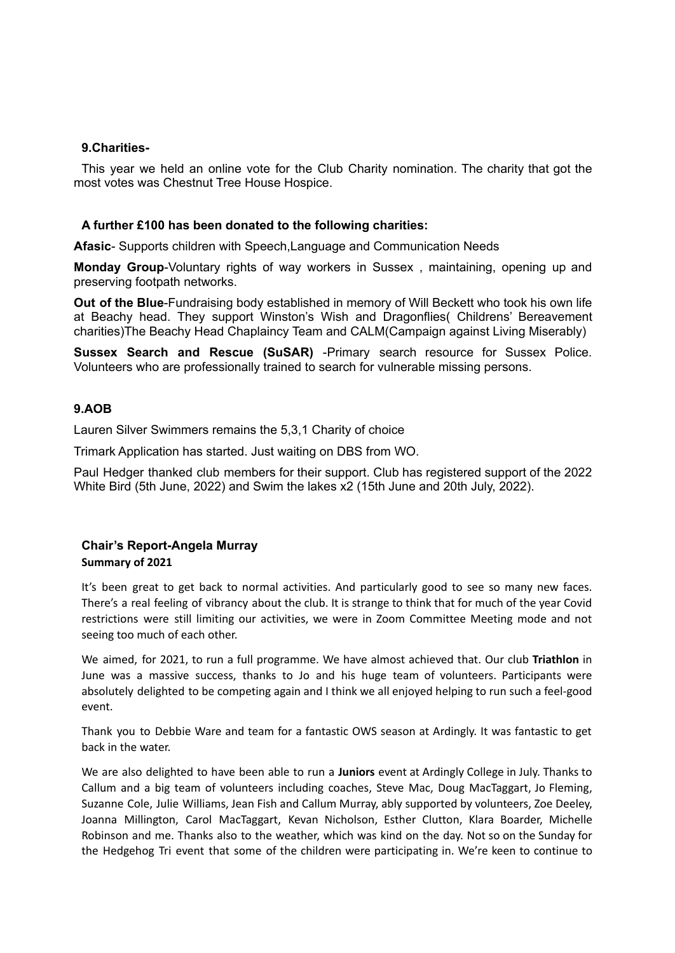## **9.Charities-**

This year we held an online vote for the Club Charity nomination. The charity that got the most votes was Chestnut Tree House Hospice.

## **A further £100 has been donated to the following charities:**

**Afasic**- Supports children with Speech,Language and Communication Needs

**Monday Group**-Voluntary rights of way workers in Sussex , maintaining, opening up and preserving footpath networks.

**Out of the Blue**-Fundraising body established in memory of Will Beckett who took his own life at Beachy head. They support Winston's Wish and Dragonflies( Childrens' Bereavement charities)The Beachy Head Chaplaincy Team and CALM(Campaign against Living Miserably)

**Sussex Search and Rescue (SuSAR)** -Primary search resource for Sussex Police. Volunteers who are professionally trained to search for vulnerable missing persons.

## **9.AOB**

Lauren Silver Swimmers remains the 5,3,1 Charity of choice

Trimark Application has started. Just waiting on DBS from WO.

Paul Hedger thanked club members for their support. Club has registered support of the 2022 White Bird (5th June, 2022) and Swim the lakes x2 (15th June and 20th July, 2022).

## **Chair's Report-Angela Murray**

## **Summary of 2021**

It's been great to get back to normal activities. And particularly good to see so many new faces. There's a real feeling of vibrancy about the club. It is strange to think that for much of the year Covid restrictions were still limiting our activities, we were in Zoom Committee Meeting mode and not seeing too much of each other.

We aimed, for 2021, to run a full programme. We have almost achieved that. Our club **Triathlon** in June was a massive success, thanks to Jo and his huge team of volunteers. Participants were absolutely delighted to be competing again and I think we all enjoyed helping to run such a feel-good event.

Thank you to Debbie Ware and team for a fantastic OWS season at Ardingly. It was fantastic to get back in the water.

We are also delighted to have been able to run a **Juniors** event at Ardingly College in July. Thanks to Callum and a big team of volunteers including coaches, Steve Mac, Doug MacTaggart, Jo Fleming, Suzanne Cole, Julie Williams, Jean Fish and Callum Murray, ably supported by volunteers, Zoe Deeley, Joanna Millington, Carol MacTaggart, Kevan Nicholson, Esther Clutton, Klara Boarder, Michelle Robinson and me. Thanks also to the weather, which was kind on the day. Not so on the Sunday for the Hedgehog Tri event that some of the children were participating in. We're keen to continue to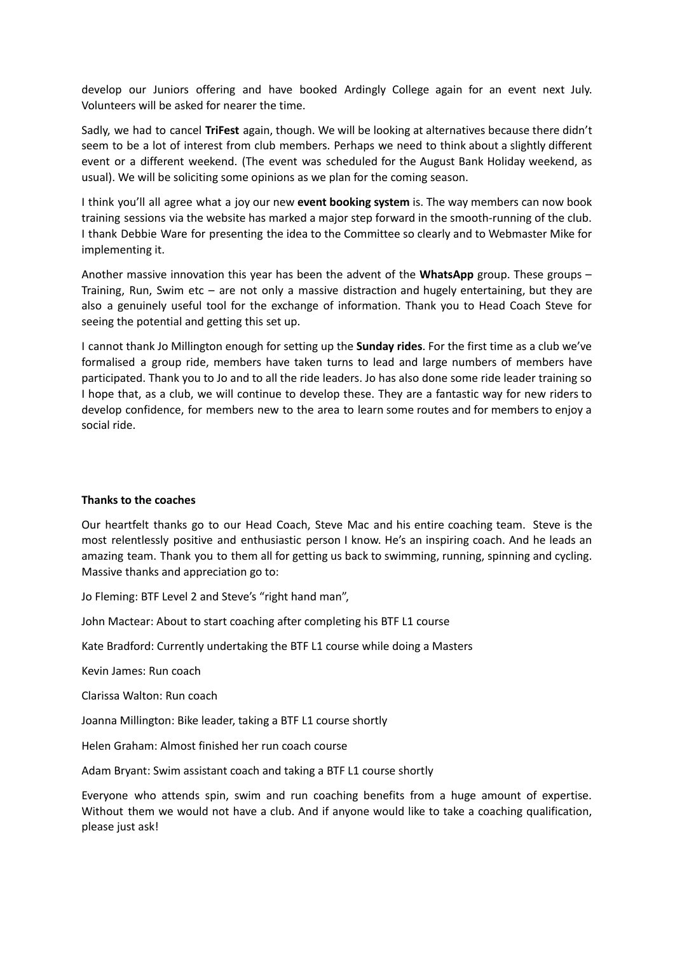develop our Juniors offering and have booked Ardingly College again for an event next July. Volunteers will be asked for nearer the time.

Sadly, we had to cancel **TriFest** again, though. We will be looking at alternatives because there didn't seem to be a lot of interest from club members. Perhaps we need to think about a slightly different event or a different weekend. (The event was scheduled for the August Bank Holiday weekend, as usual). We will be soliciting some opinions as we plan for the coming season.

I think you'll all agree what a joy our new **event booking system** is. The way members can now book training sessions via the website has marked a major step forward in the smooth-running of the club. I thank Debbie Ware for presenting the idea to the Committee so clearly and to Webmaster Mike for implementing it.

Another massive innovation this year has been the advent of the **WhatsApp** group. These groups – Training, Run, Swim etc – are not only a massive distraction and hugely entertaining, but they are also a genuinely useful tool for the exchange of information. Thank you to Head Coach Steve for seeing the potential and getting this set up.

I cannot thank Jo Millington enough for setting up the **Sunday rides**. For the first time as a club we've formalised a group ride, members have taken turns to lead and large numbers of members have participated. Thank you to Jo and to all the ride leaders. Jo has also done some ride leader training so I hope that, as a club, we will continue to develop these. They are a fantastic way for new riders to develop confidence, for members new to the area to learn some routes and for members to enjoy a social ride.

#### **Thanks to the coaches**

Our heartfelt thanks go to our Head Coach, Steve Mac and his entire coaching team. Steve is the most relentlessly positive and enthusiastic person I know. He's an inspiring coach. And he leads an amazing team. Thank you to them all for getting us back to swimming, running, spinning and cycling. Massive thanks and appreciation go to:

Jo Fleming: BTF Level 2 and Steve's "right hand man",

John Mactear: About to start coaching after completing his BTF L1 course

Kate Bradford: Currently undertaking the BTF L1 course while doing a Masters

Kevin James: Run coach

Clarissa Walton: Run coach

Joanna Millington: Bike leader, taking a BTF L1 course shortly

Helen Graham: Almost finished her run coach course

Adam Bryant: Swim assistant coach and taking a BTF L1 course shortly

Everyone who attends spin, swim and run coaching benefits from a huge amount of expertise. Without them we would not have a club. And if anyone would like to take a coaching qualification, please just ask!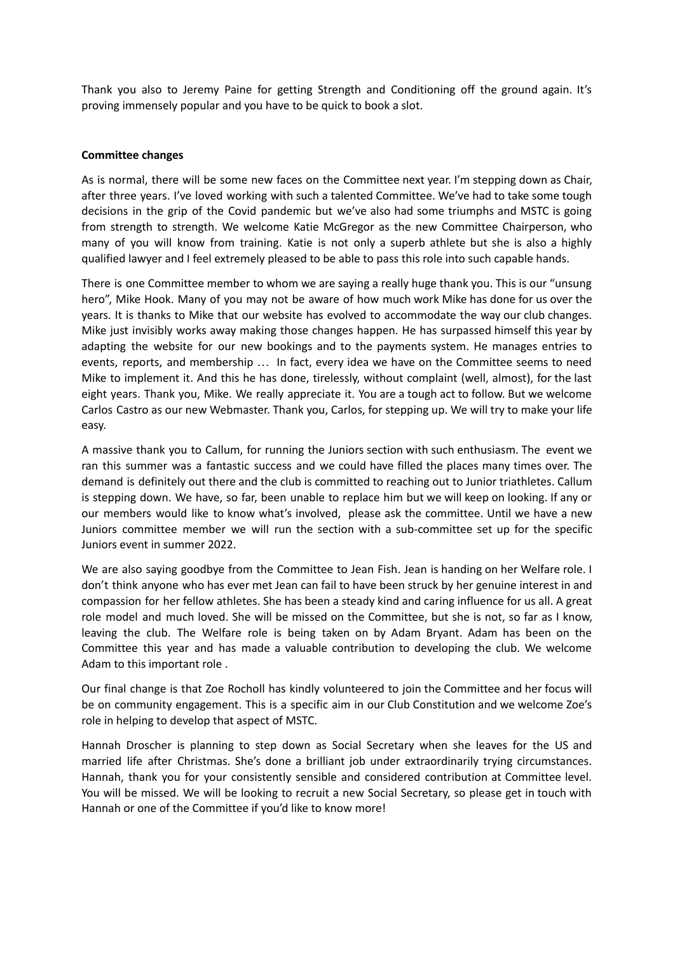Thank you also to Jeremy Paine for getting Strength and Conditioning off the ground again. It's proving immensely popular and you have to be quick to book a slot.

#### **Committee changes**

As is normal, there will be some new faces on the Committee next year. I'm stepping down as Chair, after three years. I've loved working with such a talented Committee. We've had to take some tough decisions in the grip of the Covid pandemic but we've also had some triumphs and MSTC is going from strength to strength. We welcome Katie McGregor as the new Committee Chairperson, who many of you will know from training. Katie is not only a superb athlete but she is also a highly qualified lawyer and I feel extremely pleased to be able to pass this role into such capable hands.

There is one Committee member to whom we are saying a really huge thank you. This is our "unsung hero", Mike Hook. Many of you may not be aware of how much work Mike has done for us over the years. It is thanks to Mike that our website has evolved to accommodate the way our club changes. Mike just invisibly works away making those changes happen. He has surpassed himself this year by adapting the website for our new bookings and to the payments system. He manages entries to events, reports, and membership … In fact, every idea we have on the Committee seems to need Mike to implement it. And this he has done, tirelessly, without complaint (well, almost), for the last eight years. Thank you, Mike. We really appreciate it. You are a tough act to follow. But we welcome Carlos Castro as our new Webmaster. Thank you, Carlos, for stepping up. We will try to make your life easy.

A massive thank you to Callum, for running the Juniors section with such enthusiasm. The event we ran this summer was a fantastic success and we could have filled the places many times over. The demand is definitely out there and the club is committed to reaching out to Junior triathletes. Callum is stepping down. We have, so far, been unable to replace him but we will keep on looking. If any or our members would like to know what's involved, please ask the committee. Until we have a new Juniors committee member we will run the section with a sub-committee set up for the specific Juniors event in summer 2022.

We are also saying goodbye from the Committee to Jean Fish. Jean is handing on her Welfare role. I don't think anyone who has ever met Jean can fail to have been struck by her genuine interest in and compassion for her fellow athletes. She has been a steady kind and caring influence for us all. A great role model and much loved. She will be missed on the Committee, but she is not, so far as I know, leaving the club. The Welfare role is being taken on by Adam Bryant. Adam has been on the Committee this year and has made a valuable contribution to developing the club. We welcome Adam to this important role .

Our final change is that Zoe Rocholl has kindly volunteered to join the Committee and her focus will be on community engagement. This is a specific aim in our Club Constitution and we welcome Zoe's role in helping to develop that aspect of MSTC.

Hannah Droscher is planning to step down as Social Secretary when she leaves for the US and married life after Christmas. She's done a brilliant job under extraordinarily trying circumstances. Hannah, thank you for your consistently sensible and considered contribution at Committee level. You will be missed. We will be looking to recruit a new Social Secretary, so please get in touch with Hannah or one of the Committee if you'd like to know more!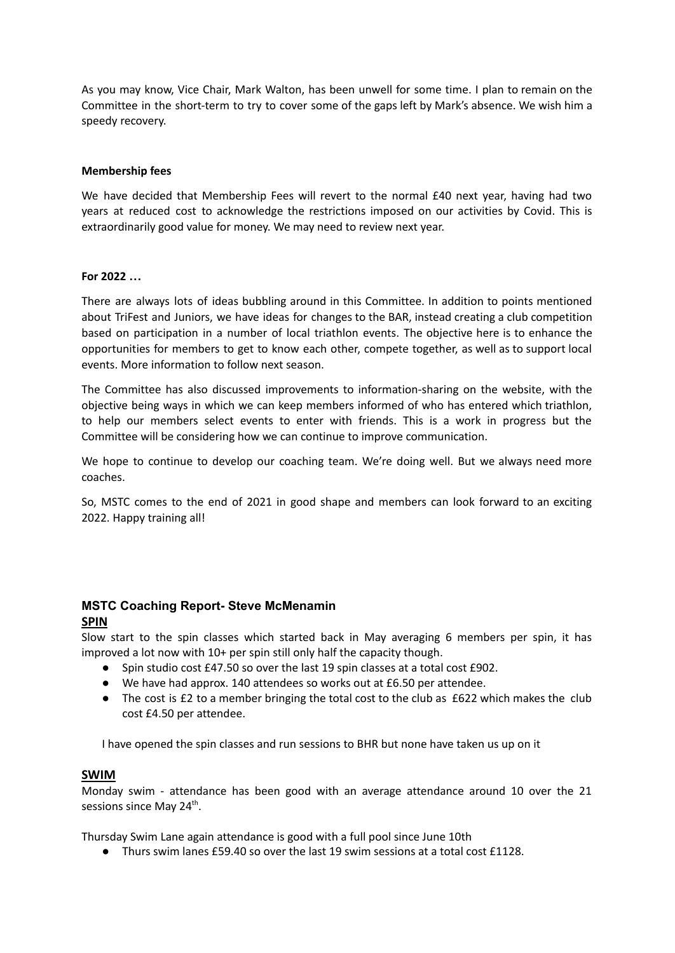As you may know, Vice Chair, Mark Walton, has been unwell for some time. I plan to remain on the Committee in the short-term to try to cover some of the gaps left by Mark's absence. We wish him a speedy recovery.

#### **Membership fees**

We have decided that Membership Fees will revert to the normal £40 next year, having had two years at reduced cost to acknowledge the restrictions imposed on our activities by Covid. This is extraordinarily good value for money. We may need to review next year.

#### **For 2022 …**

There are always lots of ideas bubbling around in this Committee. In addition to points mentioned about TriFest and Juniors, we have ideas for changes to the BAR, instead creating a club competition based on participation in a number of local triathlon events. The objective here is to enhance the opportunities for members to get to know each other, compete together, as well as to support local events. More information to follow next season.

The Committee has also discussed improvements to information-sharing on the website, with the objective being ways in which we can keep members informed of who has entered which triathlon, to help our members select events to enter with friends. This is a work in progress but the Committee will be considering how we can continue to improve communication.

We hope to continue to develop our coaching team. We're doing well. But we always need more coaches.

So, MSTC comes to the end of 2021 in good shape and members can look forward to an exciting 2022. Happy training all!

## **MSTC Coaching Report- Steve McMenamin SPIN**

Slow start to the spin classes which started back in May averaging 6 members per spin, it has improved a lot now with 10+ per spin still only half the capacity though.

- Spin studio cost £47.50 so over the last 19 spin classes at a total cost £902.
- We have had approx. 140 attendees so works out at £6.50 per attendee.
- The cost is £2 to a member bringing the total cost to the club as £622 which makes the club cost £4.50 per attendee.

I have opened the spin classes and run sessions to BHR but none have taken us up on it

#### **SWIM**

Monday swim - attendance has been good with an average attendance around 10 over the 21 sessions since May 24<sup>th</sup>.

Thursday Swim Lane again attendance is good with a full pool since June 10th

 $\bullet$  Thurs swim lanes  $f59.40$  so over the last 19 swim sessions at a total cost  $f1128$ .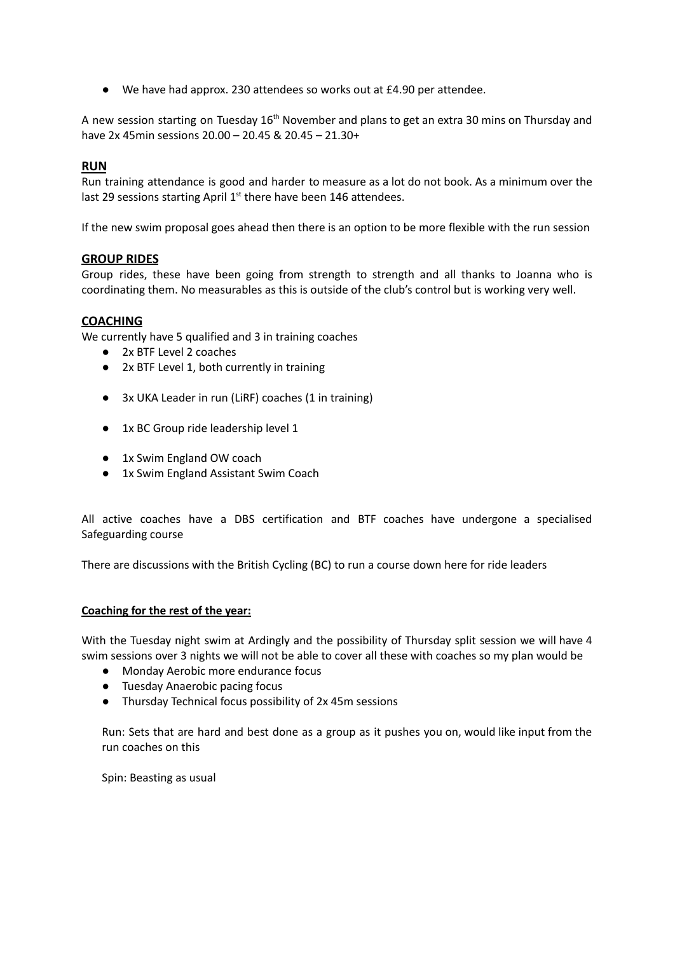● We have had approx. 230 attendees so works out at £4.90 per attendee.

A new session starting on Tuesday 16<sup>th</sup> November and plans to get an extra 30 mins on Thursday and have 2x 45min sessions 20.00 – 20.45 & 20.45 – 21.30+

## **RUN**

Run training attendance is good and harder to measure as a lot do not book. As a minimum over the last 29 sessions starting April 1<sup>st</sup> there have been 146 attendees.

If the new swim proposal goes ahead then there is an option to be more flexible with the run session

#### **GROUP RIDES**

Group rides, these have been going from strength to strength and all thanks to Joanna who is coordinating them. No measurables as this is outside of the club's control but is working very well.

## **COACHING**

We currently have 5 qualified and 3 in training coaches

- 2x BTF Level 2 coaches
- 2x BTF Level 1, both currently in training
- 3x UKA Leader in run (LiRF) coaches (1 in training)
- 1x BC Group ride leadership level 1
- 1x Swim England OW coach
- 1x Swim England Assistant Swim Coach

All active coaches have a DBS certification and BTF coaches have undergone a specialised Safeguarding course

There are discussions with the British Cycling (BC) to run a course down here for ride leaders

#### **Coaching for the rest of the year:**

With the Tuesday night swim at Ardingly and the possibility of Thursday split session we will have 4 swim sessions over 3 nights we will not be able to cover all these with coaches so my plan would be

- Monday Aerobic more endurance focus
- Tuesday Anaerobic pacing focus
- Thursday Technical focus possibility of 2x 45m sessions

Run: Sets that are hard and best done as a group as it pushes you on, would like input from the run coaches on this

Spin: Beasting as usual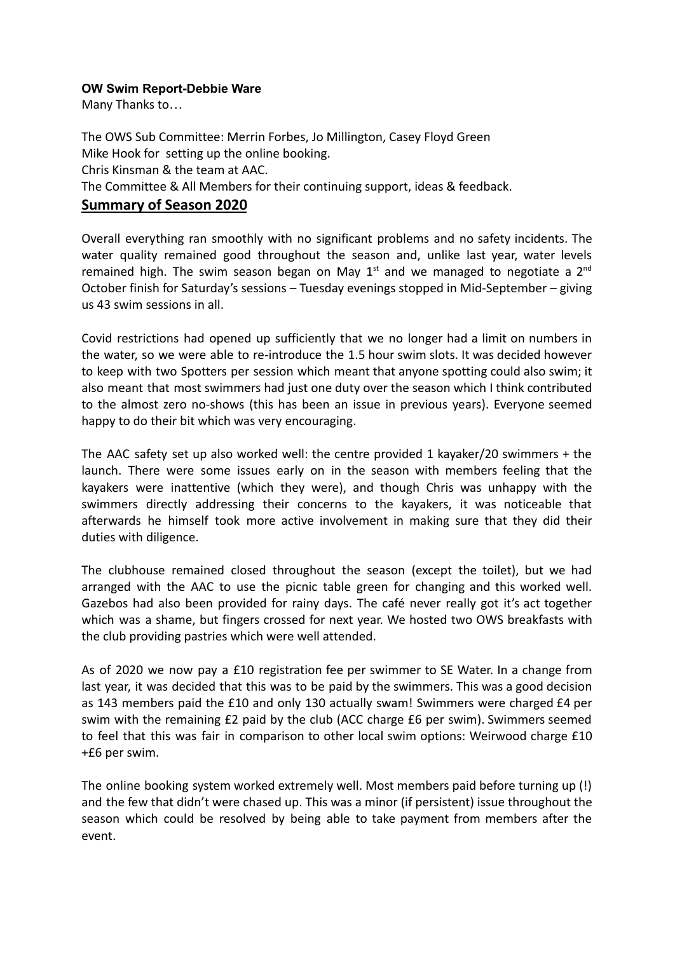## **OW Swim Report-Debbie Ware**

Many Thanks to…

The OWS Sub Committee: Merrin Forbes, Jo Millington, Casey Floyd Green Mike Hook for setting up the online booking. Chris Kinsman & the team at AAC. The Committee & All Members for their continuing support, ideas & feedback.

## **Summary of Season 2020**

Overall everything ran smoothly with no significant problems and no safety incidents. The water quality remained good throughout the season and, unlike last year, water levels remained high. The swim season began on May  $1<sup>st</sup>$  and we managed to negotiate a  $2<sup>nd</sup>$ October finish for Saturday's sessions – Tuesday evenings stopped in Mid-September – giving us 43 swim sessions in all.

Covid restrictions had opened up sufficiently that we no longer had a limit on numbers in the water, so we were able to re-introduce the 1.5 hour swim slots. It was decided however to keep with two Spotters per session which meant that anyone spotting could also swim; it also meant that most swimmers had just one duty over the season which I think contributed to the almost zero no-shows (this has been an issue in previous years). Everyone seemed happy to do their bit which was very encouraging.

The AAC safety set up also worked well: the centre provided 1 kayaker/20 swimmers + the launch. There were some issues early on in the season with members feeling that the kayakers were inattentive (which they were), and though Chris was unhappy with the swimmers directly addressing their concerns to the kayakers, it was noticeable that afterwards he himself took more active involvement in making sure that they did their duties with diligence.

The clubhouse remained closed throughout the season (except the toilet), but we had arranged with the AAC to use the picnic table green for changing and this worked well. Gazebos had also been provided for rainy days. The café never really got it's act together which was a shame, but fingers crossed for next year. We hosted two OWS breakfasts with the club providing pastries which were well attended.

As of 2020 we now pay a £10 registration fee per swimmer to SE Water. In a change from last year, it was decided that this was to be paid by the swimmers. This was a good decision as 143 members paid the £10 and only 130 actually swam! Swimmers were charged £4 per swim with the remaining £2 paid by the club (ACC charge £6 per swim). Swimmers seemed to feel that this was fair in comparison to other local swim options: Weirwood charge £10 +£6 per swim.

The online booking system worked extremely well. Most members paid before turning up (!) and the few that didn't were chased up. This was a minor (if persistent) issue throughout the season which could be resolved by being able to take payment from members after the event.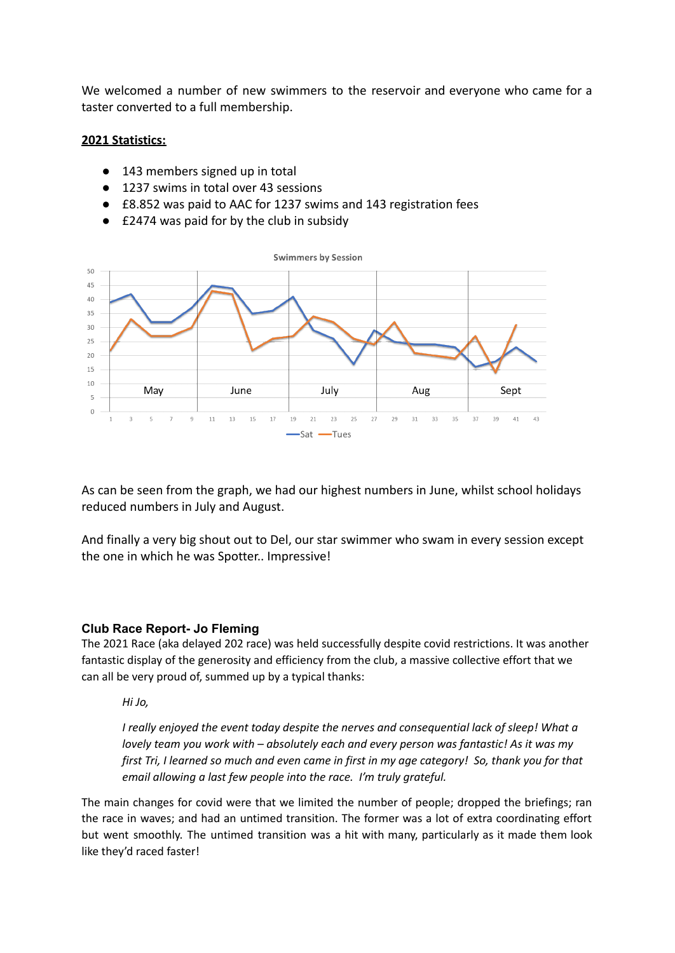We welcomed a number of new swimmers to the reservoir and everyone who came for a taster converted to a full membership.

## **2021 Statistics:**

- 143 members signed up in total
- 1237 swims in total over 43 sessions
- £8.852 was paid to AAC for 1237 swims and 143 registration fees
- £2474 was paid for by the club in subsidy



As can be seen from the graph, we had our highest numbers in June, whilst school holidays reduced numbers in July and August.

And finally a very big shout out to Del, our star swimmer who swam in every session except the one in which he was Spotter.. Impressive!

#### **Club Race Report- Jo Fleming**

The 2021 Race (aka delayed 202 race) was held successfully despite covid restrictions. It was another fantastic display of the generosity and efficiency from the club, a massive collective effort that we can all be very proud of, summed up by a typical thanks:

*Hi Jo,*

*I really enjoyed the event today despite the nerves and consequential lack of sleep! What a lovely team you work with – absolutely each and every person was fantastic! As it was my* first Tri, I learned so much and even came in first in my age category! So, thank you for that *email allowing a last few people into the race. I'm truly grateful.*

The main changes for covid were that we limited the number of people; dropped the briefings; ran the race in waves; and had an untimed transition. The former was a lot of extra coordinating effort but went smoothly. The untimed transition was a hit with many, particularly as it made them look like they'd raced faster!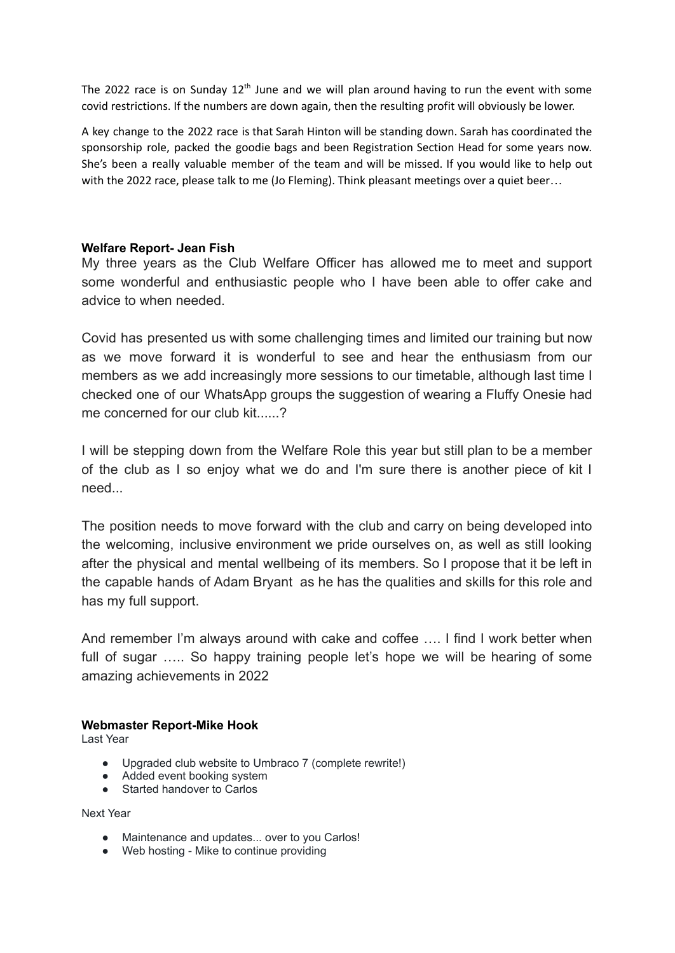The 2022 race is on Sunday 12<sup>th</sup> June and we will plan around having to run the event with some covid restrictions. If the numbers are down again, then the resulting profit will obviously be lower.

A key change to the 2022 race is that Sarah Hinton will be standing down. Sarah has coordinated the sponsorship role, packed the goodie bags and been Registration Section Head for some years now. She's been a really valuable member of the team and will be missed. If you would like to help out with the 2022 race, please talk to me (Jo Fleming). Think pleasant meetings over a quiet beer...

## **Welfare Report- Jean Fish**

My three years as the Club Welfare Officer has allowed me to meet and support some wonderful and enthusiastic people who I have been able to offer cake and advice to when needed.

Covid has presented us with some challenging times and limited our training but now as we move forward it is wonderful to see and hear the enthusiasm from our members as we add increasingly more sessions to our timetable, although last time I checked one of our WhatsApp groups the suggestion of wearing a Fluffy Onesie had me concerned for our club kit......?

I will be stepping down from the Welfare Role this year but still plan to be a member of the club as I so enjoy what we do and I'm sure there is another piece of kit I need...

The position needs to move forward with the club and carry on being developed into the welcoming, inclusive environment we pride ourselves on, as well as still looking after the physical and mental wellbeing of its members. So I propose that it be left in the capable hands of Adam Bryant as he has the qualities and skills for this role and has my full support.

And remember I'm always around with cake and coffee …. I find I work better when full of sugar ..... So happy training people let's hope we will be hearing of some amazing achievements in 2022

## **Webmaster Report-Mike Hook**

Last Year

- Upgraded club website to Umbraco 7 (complete rewrite!)
- Added event booking system
- Started handover to Carlos

Next Year

- Maintenance and updates... over to you Carlos!
- Web hosting Mike to continue providing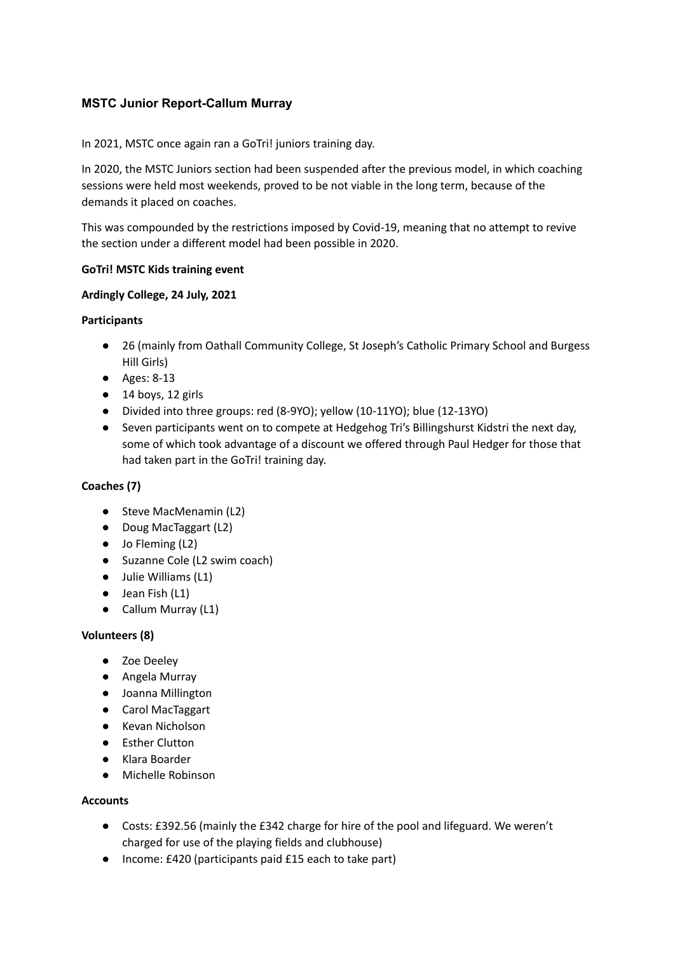## **MSTC Junior Report-Callum Murray**

In 2021, MSTC once again ran a GoTri! juniors training day.

In 2020, the MSTC Juniors section had been suspended after the previous model, in which coaching sessions were held most weekends, proved to be not viable in the long term, because of the demands it placed on coaches.

This was compounded by the restrictions imposed by Covid-19, meaning that no attempt to revive the section under a different model had been possible in 2020.

## **GoTri! MSTC Kids training event**

## **Ardingly College, 24 July, 2021**

## **Participants**

- 26 (mainly from Oathall Community College, St Joseph's Catholic Primary School and Burgess Hill Girls)
- Ages: 8-13
- 14 boys, 12 girls
- Divided into three groups: red (8-9YO); yellow (10-11YO); blue (12-13YO)
- Seven participants went on to compete at Hedgehog Tri's Billingshurst Kidstri the next day, some of which took advantage of a discount we offered through Paul Hedger for those that had taken part in the GoTri! training day.

## **Coaches (7)**

- Steve MacMenamin (L2)
- Doug MacTaggart (L2)
- Jo Fleming (L2)
- Suzanne Cole (L2 swim coach)
- Julie Williams (L1)
- Jean Fish (L1)
- Callum Murray (L1)

## **Volunteers (8)**

- Zoe Deeley
- Angela Murray
- Joanna Millington
- Carol MacTaggart
- Kevan Nicholson
- Esther Clutton
- Klara Boarder
- Michelle Robinson

## **Accounts**

- Costs: £392.56 (mainly the £342 charge for hire of the pool and lifeguard. We weren't charged for use of the playing fields and clubhouse)
- Income: £420 (participants paid £15 each to take part)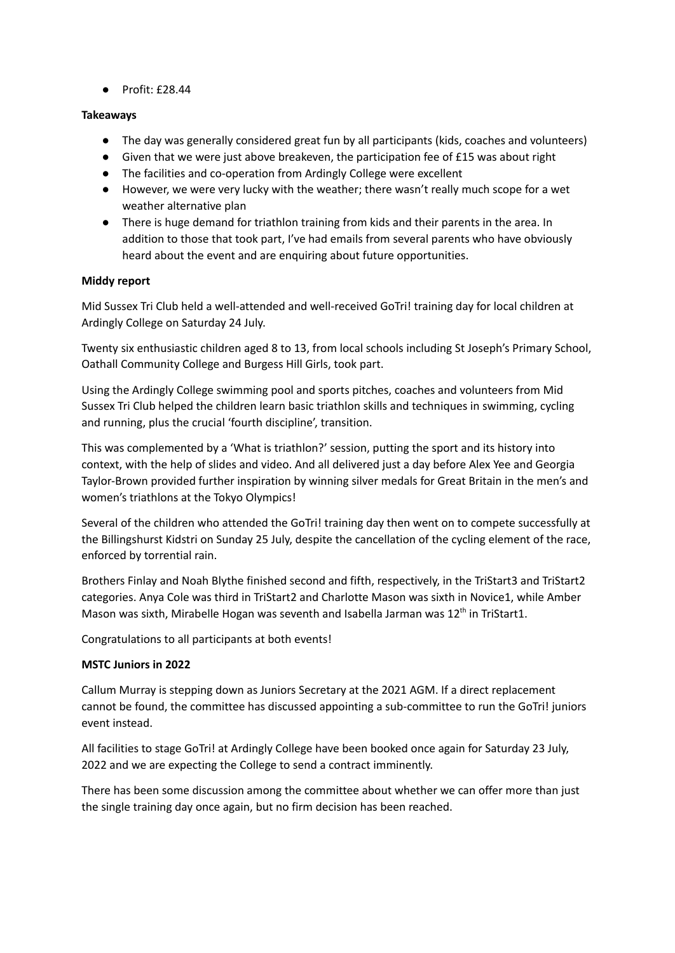● Profit: £28.44

### **Takeaways**

- The day was generally considered great fun by all participants (kids, coaches and volunteers)
- Given that we were just above breakeven, the participation fee of £15 was about right
- The facilities and co-operation from Ardingly College were excellent
- However, we were very lucky with the weather; there wasn't really much scope for a wet weather alternative plan
- There is huge demand for triathlon training from kids and their parents in the area. In addition to those that took part, I've had emails from several parents who have obviously heard about the event and are enquiring about future opportunities.

## **Middy report**

Mid Sussex Tri Club held a well-attended and well-received GoTri! training day for local children at Ardingly College on Saturday 24 July.

Twenty six enthusiastic children aged 8 to 13, from local schools including St Joseph's Primary School, Oathall Community College and Burgess Hill Girls, took part.

Using the Ardingly College swimming pool and sports pitches, coaches and volunteers from Mid Sussex Tri Club helped the children learn basic triathlon skills and techniques in swimming, cycling and running, plus the crucial 'fourth discipline', transition.

This was complemented by a 'What is triathlon?' session, putting the sport and its history into context, with the help of slides and video. And all delivered just a day before Alex Yee and Georgia Taylor-Brown provided further inspiration by winning silver medals for Great Britain in the men's and women's triathlons at the Tokyo Olympics!

Several of the children who attended the GoTri! training day then went on to compete successfully at the Billingshurst Kidstri on Sunday 25 July, despite the cancellation of the cycling element of the race, enforced by torrential rain.

Brothers Finlay and Noah Blythe finished second and fifth, respectively, in the TriStart3 and TriStart2 categories. Anya Cole was third in TriStart2 and Charlotte Mason was sixth in Novice1, while Amber Mason was sixth, Mirabelle Hogan was seventh and Isabella Jarman was 12<sup>th</sup> in TriStart1.

Congratulations to all participants at both events!

#### **MSTC Juniors in 2022**

Callum Murray is stepping down as Juniors Secretary at the 2021 AGM. If a direct replacement cannot be found, the committee has discussed appointing a sub-committee to run the GoTri! juniors event instead.

All facilities to stage GoTri! at Ardingly College have been booked once again for Saturday 23 July, 2022 and we are expecting the College to send a contract imminently.

There has been some discussion among the committee about whether we can offer more than just the single training day once again, but no firm decision has been reached.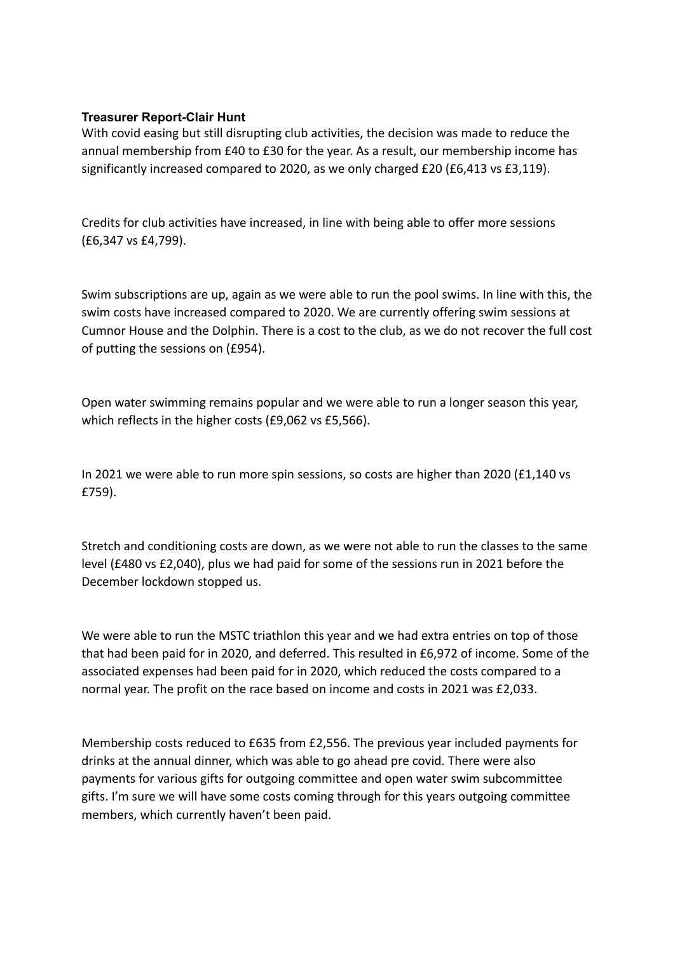## **Treasurer Report-Clair Hunt**

With covid easing but still disrupting club activities, the decision was made to reduce the annual membership from £40 to £30 for the year. As a result, our membership income has significantly increased compared to 2020, as we only charged £20 (£6,413 vs £3,119).

Credits for club activities have increased, in line with being able to offer more sessions (£6,347 vs £4,799).

Swim subscriptions are up, again as we were able to run the pool swims. In line with this, the swim costs have increased compared to 2020. We are currently offering swim sessions at Cumnor House and the Dolphin. There is a cost to the club, as we do not recover the full cost of putting the sessions on (£954).

Open water swimming remains popular and we were able to run a longer season this year, which reflects in the higher costs (£9,062 vs £5,566).

In 2021 we were able to run more spin sessions, so costs are higher than 2020 (£1,140 vs £759).

Stretch and conditioning costs are down, as we were not able to run the classes to the same level (£480 vs £2,040), plus we had paid for some of the sessions run in 2021 before the December lockdown stopped us.

We were able to run the MSTC triathlon this year and we had extra entries on top of those that had been paid for in 2020, and deferred. This resulted in £6,972 of income. Some of the associated expenses had been paid for in 2020, which reduced the costs compared to a normal year. The profit on the race based on income and costs in 2021 was £2,033.

Membership costs reduced to £635 from £2,556. The previous year included payments for drinks at the annual dinner, which was able to go ahead pre covid. There were also payments for various gifts for outgoing committee and open water swim subcommittee gifts. I'm sure we will have some costs coming through for this years outgoing committee members, which currently haven't been paid.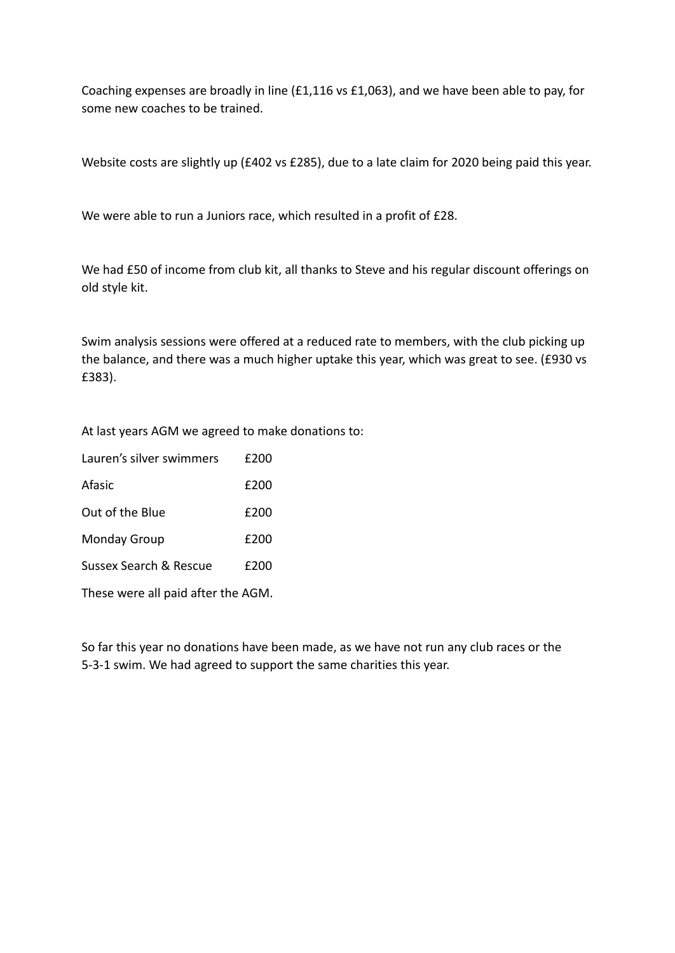Coaching expenses are broadly in line (£1,116 vs £1,063), and we have been able to pay, for some new coaches to be trained.

Website costs are slightly up (£402 vs £285), due to a late claim for 2020 being paid this year.

We were able to run a Juniors race, which resulted in a profit of £28.

We had £50 of income from club kit, all thanks to Steve and his regular discount offerings on old style kit.

Swim analysis sessions were offered at a reduced rate to members, with the club picking up the balance, and there was a much higher uptake this year, which was great to see. (£930 vs £383).

At last years AGM we agreed to make donations to:

| Lauren's silver swimmers           | £200 |  |
|------------------------------------|------|--|
| Afasic                             | £200 |  |
| Out of the Blue                    | £200 |  |
| <b>Monday Group</b>                | £200 |  |
| Sussex Search & Rescue             | £200 |  |
| These were all paid after the AGM. |      |  |

So far this year no donations have been made, as we have not run any club races or the

5-3-1 swim. We had agreed to support the same charities this year.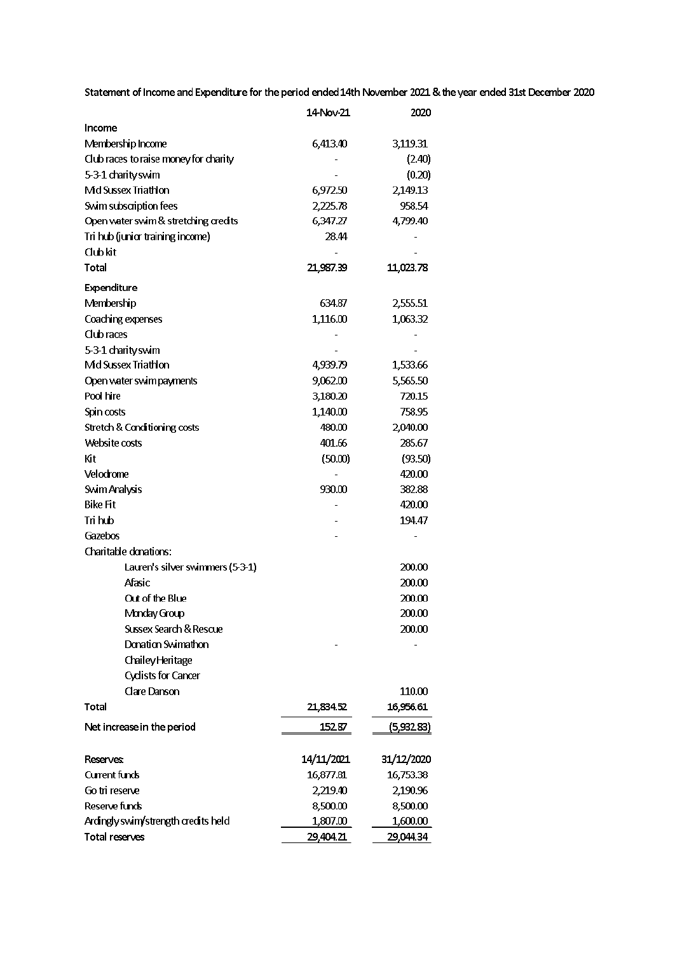Statement of Income and Expenditure for the period ended 14th November 2021 & the year ended 31st December 2020

|                                       | 14-Nov-21  | 2020       |
|---------------------------------------|------------|------------|
| Income                                |            |            |
| Membership Income                     | 6,413.40   | 3,119.31   |
| Club races to raise money for charity |            | (2.40)     |
| 5-3-1 charity swim                    |            | (0.20)     |
| Mid Sussex Triathlon                  | 6,972.50   | 2,149.13   |
| Swim subscription fees                | 2,225.78   | 958.54     |
| Open water swim & stretching credits  | 6,347.27   | 4,799.40   |
| Tri hub (junior training income)      | 28.44      |            |
| Club kit                              |            |            |
| Total                                 | 21,987.39  | 11,023.78  |
| Expenditure                           |            |            |
| Membership                            | 634.87     | 2,555.51   |
| Coaching expenses                     | 1,116.00   | 1,063.32   |
| Club races                            |            |            |
| 5-3-1 charity swim                    |            |            |
| Mid Sussex Triathlon                  | 4,939.79   | 1,533.66   |
| Open water swim payments              | 9,062.00   | 5,565.50   |
| Pool hire                             | 3,180.20   | 720.15     |
| Spin costs                            | 1,140.00   | 758.95     |
| Stretch & Canditioning costs          | 480.00     | 2,040.00   |
| Website costs                         | 401.66     | 285.67     |
| Кit                                   | (50.00)    | (93.50)    |
| Velodrome                             |            | 420.00     |
| Swim Analysis                         | 930.00     | 382.88     |
| <b>Bike Fit</b>                       |            | 420.00     |
| Tri hub                               |            | 194.47     |
| Gazebos                               |            |            |
| Charitable donations:                 |            |            |
| Lauren's silver swimmers (5-3-1)      |            | 200.00     |
| Afasic                                |            | 200.00     |
| Out of the Blue                       |            | 200.00     |
| Monday Group                          |            | 200.00     |
| Sussex Search & Rescue                |            | 200.00     |
| Donation Swimathon                    |            |            |
| Chailey Heritage                      |            |            |
| <b>Cyclists for Cancer</b>            |            |            |
| Clare Danson                          |            | 110.00     |
| Total                                 | 21,834.52  | 16,956.61  |
|                                       |            |            |
| Net increase in the period            | 152.87     | (5,932.83) |
| <b>Reserves:</b>                      | 14/11/2021 | 31/12/2020 |
| Current funds                         | 16,877.81  | 16,753.38  |
| Go tri reserve                        | 2,219.40   | 2,190.96   |
| Reserve funds                         | 8,500.00   | 8,500.00   |
| Ardingly swim/strength credits held   | 1,807.00   | 1,600.00   |
| Total reserves                        | 29,404.21  | 29,044.34  |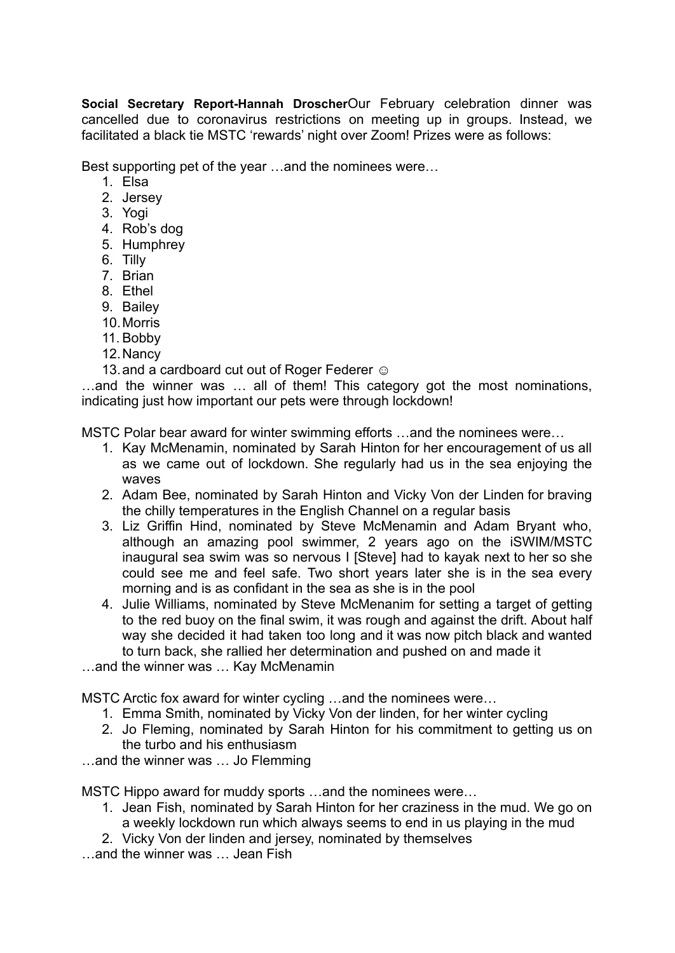**Social Secretary Report-Hannah Droscher**Our February celebration dinner was cancelled due to coronavirus restrictions on meeting up in groups. Instead, we facilitated a black tie MSTC 'rewards' night over Zoom! Prizes were as follows:

Best supporting pet of the year …and the nominees were…

- 1. Elsa
- 2. Jersey
- 3. Yogi
- 4. Rob's dog
- 5. Humphrey
- 6. Tilly
- 7. Brian
- 8. Ethel
- 9. Bailey
- 10.Morris
- 11. Bobby
- 12.Nancy
- 13. and a cardboard cut out of Roger Federer  $\odot$

…and the winner was … all of them! This category got the most nominations, indicating just how important our pets were through lockdown!

MSTC Polar bear award for winter swimming efforts …and the nominees were…

- 1. Kay McMenamin, nominated by Sarah Hinton for her encouragement of us all as we came out of lockdown. She regularly had us in the sea enjoying the waves
- 2. Adam Bee, nominated by Sarah Hinton and Vicky Von der Linden for braving the chilly temperatures in the English Channel on a regular basis
- 3. Liz Griffin Hind, nominated by Steve McMenamin and Adam Bryant who, although an amazing pool swimmer, 2 years ago on the iSWIM/MSTC inaugural sea swim was so nervous I [Steve] had to kayak next to her so she could see me and feel safe. Two short years later she is in the sea every morning and is as confidant in the sea as she is in the pool
- 4. Julie Williams, nominated by Steve McMenanim for setting a target of getting to the red buoy on the final swim, it was rough and against the drift. About half way she decided it had taken too long and it was now pitch black and wanted to turn back, she rallied her determination and pushed on and made it
- …and the winner was … Kay McMenamin

MSTC Arctic fox award for winter cycling …and the nominees were…

- 1. Emma Smith, nominated by Vicky Von der linden, for her winter cycling
- 2. Jo Fleming, nominated by Sarah Hinton for his commitment to getting us on the turbo and his enthusiasm
- …and the winner was … Jo Flemming

MSTC Hippo award for muddy sports …and the nominees were…

- 1. Jean Fish, nominated by Sarah Hinton for her craziness in the mud. We go on a weekly lockdown run which always seems to end in us playing in the mud
- 2. Vicky Von der linden and jersey, nominated by themselves

…and the winner was … Jean Fish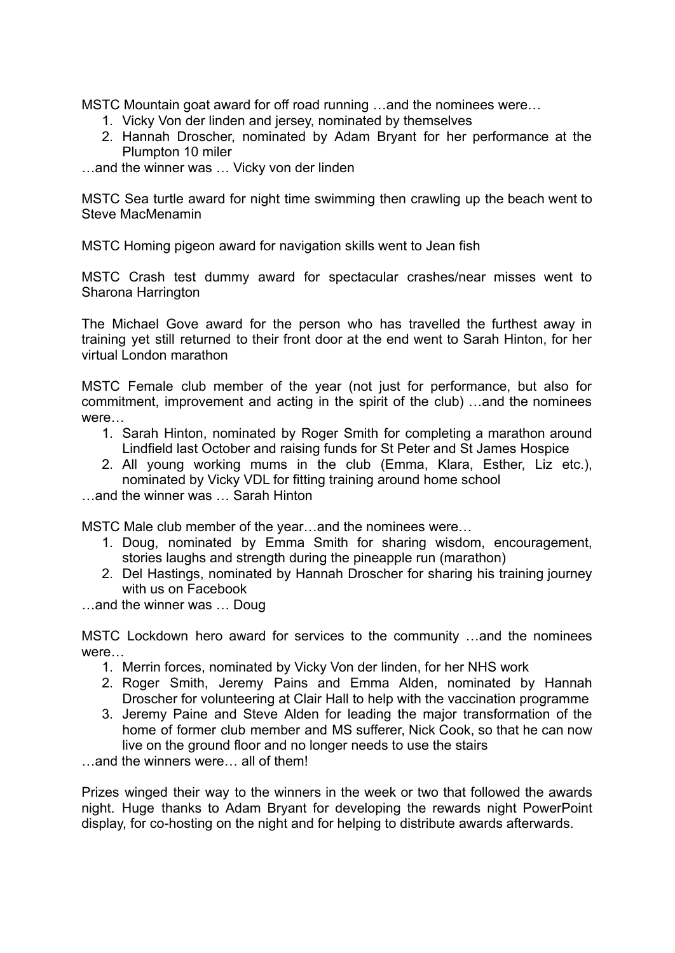MSTC Mountain goat award for off road running …and the nominees were…

- 1. Vicky Von der linden and jersey, nominated by themselves
- 2. Hannah Droscher, nominated by Adam Bryant for her performance at the Plumpton 10 miler

…and the winner was … Vicky von der linden

MSTC Sea turtle award for night time swimming then crawling up the beach went to Steve MacMenamin

MSTC Homing pigeon award for navigation skills went to Jean fish

MSTC Crash test dummy award for spectacular crashes/near misses went to Sharona Harrington

The Michael Gove award for the person who has travelled the furthest away in training yet still returned to their front door at the end went to Sarah Hinton, for her virtual London marathon

MSTC Female club member of the year (not just for performance, but also for commitment, improvement and acting in the spirit of the club) …and the nominees were…

- 1. Sarah Hinton, nominated by Roger Smith for completing a marathon around Lindfield last October and raising funds for St Peter and St James Hospice
- 2. All young working mums in the club (Emma, Klara, Esther, Liz etc.), nominated by Vicky VDL for fitting training around home school
- …and the winner was … Sarah Hinton

MSTC Male club member of the year…and the nominees were…

- 1. Doug, nominated by Emma Smith for sharing wisdom, encouragement, stories laughs and strength during the pineapple run (marathon)
- 2. Del Hastings, nominated by Hannah Droscher for sharing his training journey with us on Facebook
- …and the winner was … Doug

MSTC Lockdown hero award for services to the community …and the nominees were…

- 1. Merrin forces, nominated by Vicky Von der linden, for her NHS work
- 2. Roger Smith, Jeremy Pains and Emma Alden, nominated by Hannah Droscher for volunteering at Clair Hall to help with the vaccination programme
- 3. Jeremy Paine and Steve Alden for leading the major transformation of the home of former club member and MS sufferer, Nick Cook, so that he can now live on the ground floor and no longer needs to use the stairs

…and the winners were… all of them!

Prizes winged their way to the winners in the week or two that followed the awards night. Huge thanks to Adam Bryant for developing the rewards night PowerPoint display, for co-hosting on the night and for helping to distribute awards afterwards.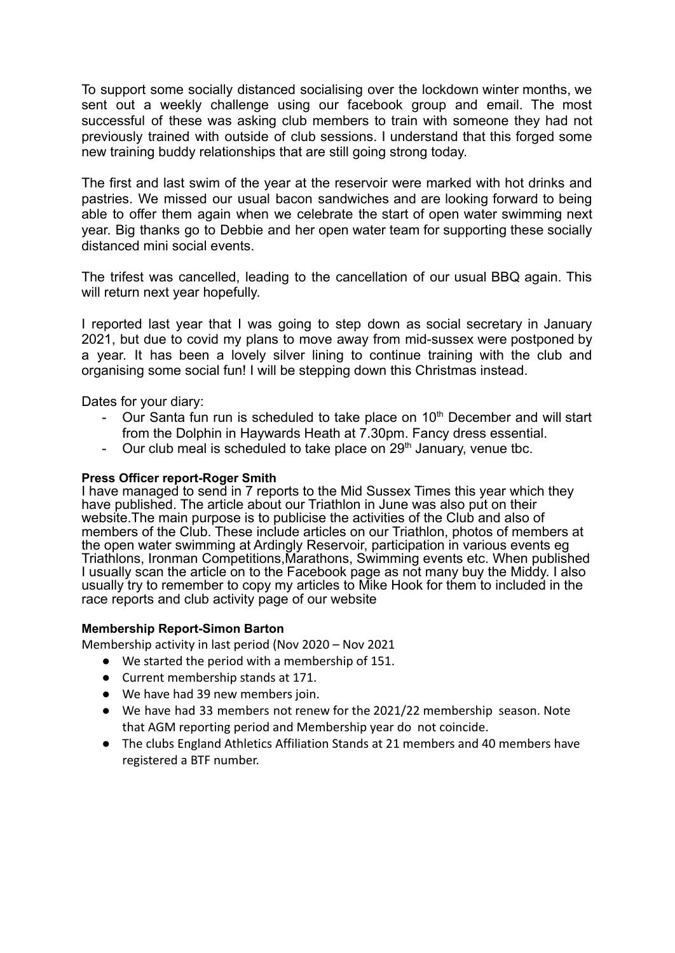To support some socially distanced socialising over the lockdown winter months, we sent out a weekly challenge using our facebook group and email. The most successful of these was asking club members to train with someone they had not previously trained with outside of club sessions. I understand that this forged some new training buddy relationships that are still going strong today.

The first and last swim of the year at the reservoir were marked with hot drinks and pastries. We missed our usual bacon sandwiches and are looking forward to being able to offer them again when we celebrate the start of open water swimming next year. Big thanks go to Debbie and her open water team for supporting these socially distanced mini social events.

The trifest was cancelled, leading to the cancellation of our usual BBQ again. This will return next year hopefully.

I reported last year that I was going to step down as social secretary in January 2021, but due to covid my plans to move away from mid-sussex were postponed by a year. It has been a lovely silver lining to continue training with the club and organising some social fun! I will be stepping down this Christmas instead.

Dates for your diary:

- Our Santa fun run is scheduled to take place on 10<sup>th</sup> December and will start from the Dolphin in Haywards Heath at 7.30pm. Fancy dress essential.
- Our club meal is scheduled to take place on  $29<sup>th</sup>$  January, venue tbc.

## **Press Officer report-Roger Smith**

I have managed to send in 7 reports to the Mid Sussex Times this year which they have published. The article about our Triathlon in June was also put on their website.The main purpose is to publicise the activities of the Club and also of members of the Club. These include articles on our Triathlon, photos of members at the open water swimming at Ardingly Reservoir, participation in various events eg Triathlons, Ironman Competitions,Marathons, Swimming events etc. When published I usually scan the article on to the Facebook page as not many buy the Middy. I also usually try to remember to copy my articles to Mike Hook for them to included in the race reports and club activity page of our website

## **Membership Report-Simon Barton**

Membership activity in last period (Nov 2020 – Nov 2021

- We started the period with a membership of 151.
- Current membership stands at 171.
- We have had 39 new members join.
- We have had 33 members not renew for the 2021/22 membership season. Note that AGM reporting period and Membership year do not coincide.
- The clubs England Athletics Affiliation Stands at 21 members and 40 members have registered a BTF number.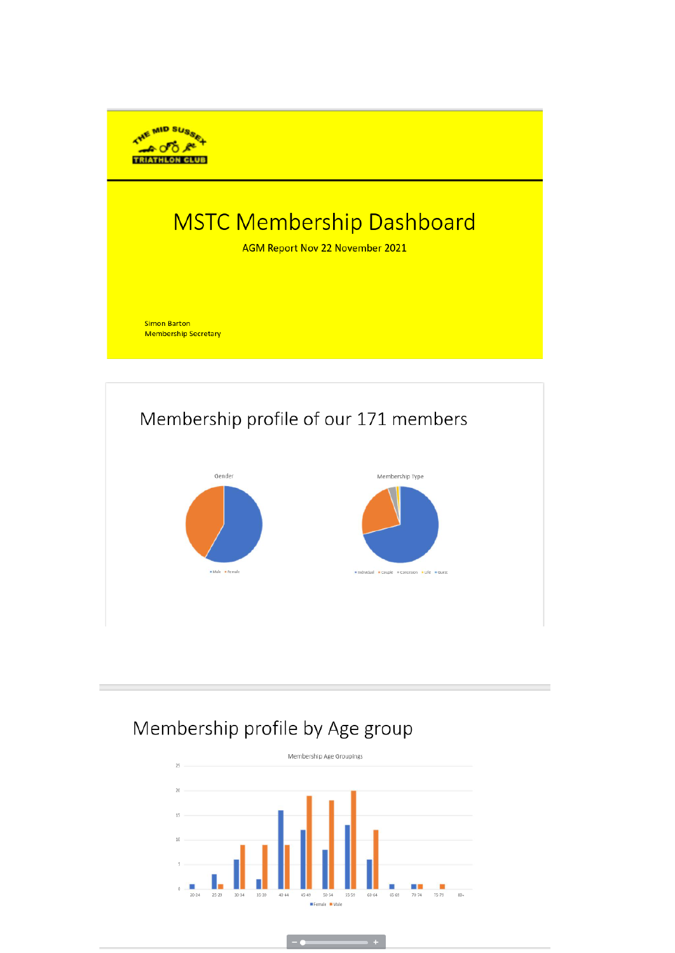

# **MSTC Membership Dashboard**

AGM Report Nov 22 November 2021

**Simon Barton Membership Secretary** 



## Membership profile by Age group

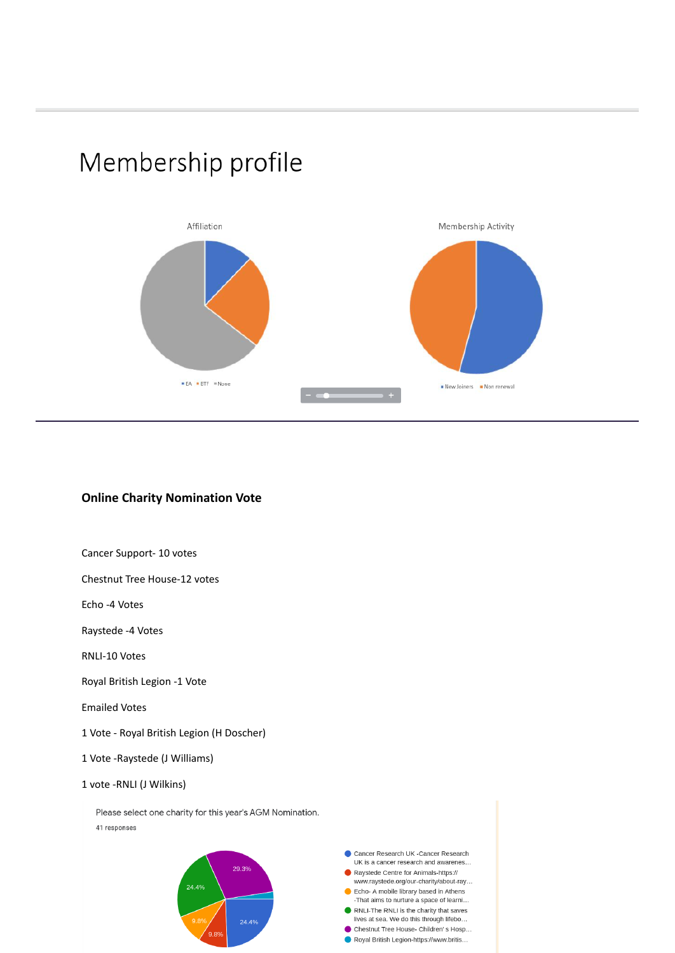



## **Online Charity Nomination Vote**

#### Cancer Support- 10 votes

Chestnut Tree House-12 votes

Echo -4 Votes

Raystede -4 Votes

RNLI-10 Votes

Royal British Legion -1 Vote

Emailed Votes

1 Vote - Royal British Legion (H Doscher)

1 Vote -Raystede (J Williams)

#### 1 vote -RNLI (J Wilkins)

Please select one charity for this year's AGM Nomination. 41 responses